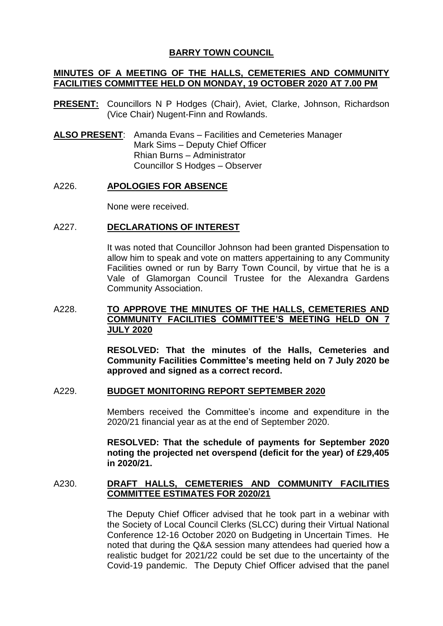# **BARRY TOWN COUNCIL**

# **MINUTES OF A MEETING OF THE HALLS, CEMETERIES AND COMMUNITY FACILITIES COMMITTEE HELD ON MONDAY, 19 OCTOBER 2020 AT 7.00 PM**

- **PRESENT:** Councillors N P Hodges (Chair), Aviet, Clarke, Johnson, Richardson (Vice Chair) Nugent-Finn and Rowlands.
- **ALSO PRESENT**: Amanda Evans Facilities and Cemeteries Manager Mark Sims – Deputy Chief Officer Rhian Burns – Administrator Councillor S Hodges – Observer

## A226. **APOLOGIES FOR ABSENCE**

None were received.

## A227. **DECLARATIONS OF INTEREST**

It was noted that Councillor Johnson had been granted Dispensation to allow him to speak and vote on matters appertaining to any Community Facilities owned or run by Barry Town Council, by virtue that he is a Vale of Glamorgan Council Trustee for the Alexandra Gardens Community Association.

# A228. **TO APPROVE THE MINUTES OF THE HALLS, CEMETERIES AND COMMUNITY FACILITIES COMMITTEE'S MEETING HELD ON 7 JULY 2020**

**RESOLVED: That the minutes of the Halls, Cemeteries and Community Facilities Committee's meeting held on 7 July 2020 be approved and signed as a correct record.**

#### A229. **BUDGET MONITORING REPORT SEPTEMBER 2020**

Members received the Committee's income and expenditure in the 2020/21 financial year as at the end of September 2020.

**RESOLVED: That the schedule of payments for September 2020 noting the projected net overspend (deficit for the year) of £29,405 in 2020/21.**

## A230. **DRAFT HALLS, CEMETERIES AND COMMUNITY FACILITIES COMMITTEE ESTIMATES FOR 2020/21**

The Deputy Chief Officer advised that he took part in a webinar with the Society of Local Council Clerks (SLCC) during their Virtual National Conference 12-16 October 2020 on Budgeting in Uncertain Times. He noted that during the Q&A session many attendees had queried how a realistic budget for 2021/22 could be set due to the uncertainty of the Covid-19 pandemic. The Deputy Chief Officer advised that the panel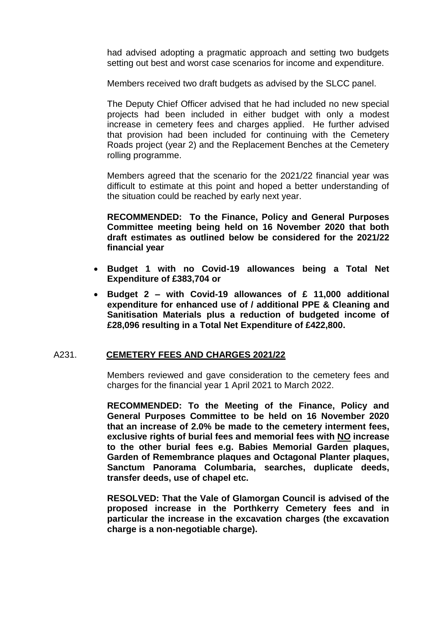had advised adopting a pragmatic approach and setting two budgets setting out best and worst case scenarios for income and expenditure.

Members received two draft budgets as advised by the SLCC panel.

The Deputy Chief Officer advised that he had included no new special projects had been included in either budget with only a modest increase in cemetery fees and charges applied. He further advised that provision had been included for continuing with the Cemetery Roads project (year 2) and the Replacement Benches at the Cemetery rolling programme.

Members agreed that the scenario for the 2021/22 financial year was difficult to estimate at this point and hoped a better understanding of the situation could be reached by early next year.

**RECOMMENDED: To the Finance, Policy and General Purposes Committee meeting being held on 16 November 2020 that both draft estimates as outlined below be considered for the 2021/22 financial year**

- **Budget 1 with no Covid-19 allowances being a Total Net Expenditure of £383,704 or**
- **Budget 2 – with Covid-19 allowances of £ 11,000 additional expenditure for enhanced use of / additional PPE & Cleaning and Sanitisation Materials plus a reduction of budgeted income of £28,096 resulting in a Total Net Expenditure of £422,800.**

## A231. **CEMETERY FEES AND CHARGES 2021/22**

Members reviewed and gave consideration to the cemetery fees and charges for the financial year 1 April 2021 to March 2022.

**RECOMMENDED: To the Meeting of the Finance, Policy and General Purposes Committee to be held on 16 November 2020 that an increase of 2.0% be made to the cemetery interment fees, exclusive rights of burial fees and memorial fees with NO increase to the other burial fees e.g. Babies Memorial Garden plaques, Garden of Remembrance plaques and Octagonal Planter plaques, Sanctum Panorama Columbaria, searches, duplicate deeds, transfer deeds, use of chapel etc.**

**RESOLVED: That the Vale of Glamorgan Council is advised of the proposed increase in the Porthkerry Cemetery fees and in particular the increase in the excavation charges (the excavation charge is a non-negotiable charge).**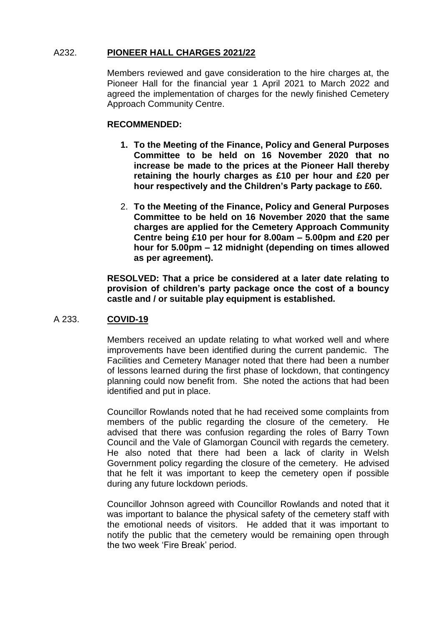# A232. **PIONEER HALL CHARGES 2021/22**

Members reviewed and gave consideration to the hire charges at, the Pioneer Hall for the financial year 1 April 2021 to March 2022 and agreed the implementation of charges for the newly finished Cemetery Approach Community Centre.

# **RECOMMENDED:**

- **1. To the Meeting of the Finance, Policy and General Purposes Committee to be held on 16 November 2020 that no increase be made to the prices at the Pioneer Hall thereby retaining the hourly charges as £10 per hour and £20 per hour respectively and the Children's Party package to £60.**
- 2. **To the Meeting of the Finance, Policy and General Purposes Committee to be held on 16 November 2020 that the same charges are applied for the Cemetery Approach Community Centre being £10 per hour for 8.00am – 5.00pm and £20 per hour for 5.00pm – 12 midnight (depending on times allowed as per agreement).**

**RESOLVED: That a price be considered at a later date relating to provision of children's party package once the cost of a bouncy castle and / or suitable play equipment is established.**

# A 233. **COVID-19**

Members received an update relating to what worked well and where improvements have been identified during the current pandemic. The Facilities and Cemetery Manager noted that there had been a number of lessons learned during the first phase of lockdown, that contingency planning could now benefit from. She noted the actions that had been identified and put in place.

Councillor Rowlands noted that he had received some complaints from members of the public regarding the closure of the cemetery. He advised that there was confusion regarding the roles of Barry Town Council and the Vale of Glamorgan Council with regards the cemetery. He also noted that there had been a lack of clarity in Welsh Government policy regarding the closure of the cemetery. He advised that he felt it was important to keep the cemetery open if possible during any future lockdown periods.

Councillor Johnson agreed with Councillor Rowlands and noted that it was important to balance the physical safety of the cemetery staff with the emotional needs of visitors. He added that it was important to notify the public that the cemetery would be remaining open through the two week 'Fire Break' period.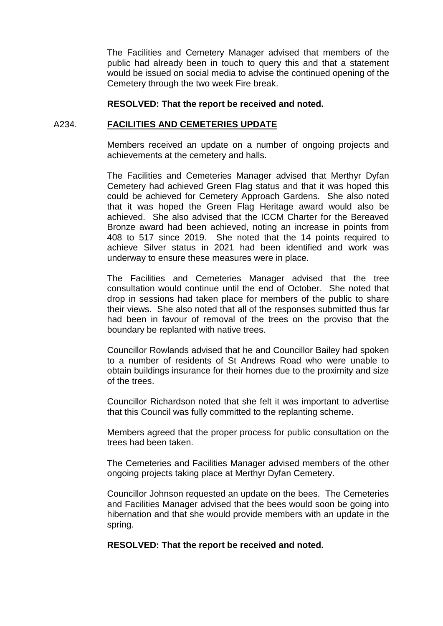The Facilities and Cemetery Manager advised that members of the public had already been in touch to query this and that a statement would be issued on social media to advise the continued opening of the Cemetery through the two week Fire break.

#### **RESOLVED: That the report be received and noted.**

## A234. **FACILITIES AND CEMETERIES UPDATE**

Members received an update on a number of ongoing projects and achievements at the cemetery and halls.

The Facilities and Cemeteries Manager advised that Merthyr Dyfan Cemetery had achieved Green Flag status and that it was hoped this could be achieved for Cemetery Approach Gardens. She also noted that it was hoped the Green Flag Heritage award would also be achieved. She also advised that the ICCM Charter for the Bereaved Bronze award had been achieved, noting an increase in points from 408 to 517 since 2019. She noted that the 14 points required to achieve Silver status in 2021 had been identified and work was underway to ensure these measures were in place.

The Facilities and Cemeteries Manager advised that the tree consultation would continue until the end of October. She noted that drop in sessions had taken place for members of the public to share their views. She also noted that all of the responses submitted thus far had been in favour of removal of the trees on the proviso that the boundary be replanted with native trees.

Councillor Rowlands advised that he and Councillor Bailey had spoken to a number of residents of St Andrews Road who were unable to obtain buildings insurance for their homes due to the proximity and size of the trees.

Councillor Richardson noted that she felt it was important to advertise that this Council was fully committed to the replanting scheme.

Members agreed that the proper process for public consultation on the trees had been taken.

The Cemeteries and Facilities Manager advised members of the other ongoing projects taking place at Merthyr Dyfan Cemetery.

Councillor Johnson requested an update on the bees. The Cemeteries and Facilities Manager advised that the bees would soon be going into hibernation and that she would provide members with an update in the spring.

**RESOLVED: That the report be received and noted.**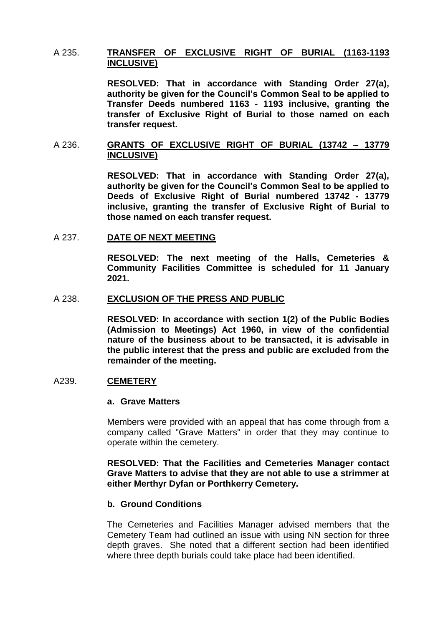## A 235. **TRANSFER OF EXCLUSIVE RIGHT OF BURIAL (1163-1193 INCLUSIVE)**

**RESOLVED: That in accordance with Standing Order 27(a), authority be given for the Council's Common Seal to be applied to Transfer Deeds numbered 1163 - 1193 inclusive, granting the transfer of Exclusive Right of Burial to those named on each transfer request.** 

## A 236. **GRANTS OF EXCLUSIVE RIGHT OF BURIAL (13742 – 13779 INCLUSIVE)**

**RESOLVED: That in accordance with Standing Order 27(a), authority be given for the Council's Common Seal to be applied to Deeds of Exclusive Right of Burial numbered 13742 - 13779 inclusive, granting the transfer of Exclusive Right of Burial to those named on each transfer request.** 

#### A 237. **DATE OF NEXT MEETING**

**RESOLVED: The next meeting of the Halls, Cemeteries & Community Facilities Committee is scheduled for 11 January 2021.**

#### A 238. **EXCLUSION OF THE PRESS AND PUBLIC**

**RESOLVED: In accordance with section 1(2) of the Public Bodies (Admission to Meetings) Act 1960, in view of the confidential nature of the business about to be transacted, it is advisable in the public interest that the press and public are excluded from the remainder of the meeting.**

#### A239. **CEMETERY**

#### **a. Grave Matters**

Members were provided with an appeal that has come through from a company called "Grave Matters" in order that they may continue to operate within the cemetery.

#### **RESOLVED: That the Facilities and Cemeteries Manager contact Grave Matters to advise that they are not able to use a strimmer at either Merthyr Dyfan or Porthkerry Cemetery.**

#### **b. Ground Conditions**

The Cemeteries and Facilities Manager advised members that the Cemetery Team had outlined an issue with using NN section for three depth graves. She noted that a different section had been identified where three depth burials could take place had been identified.